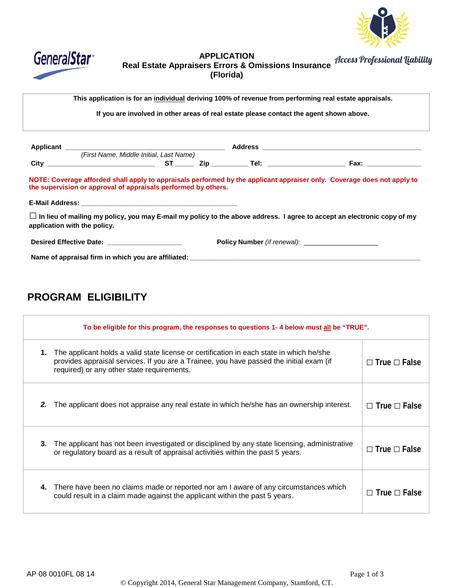



## **APPLICATION Real Estate Appraisers Errors & Omissions Insurance (Florida)**

**This application is for an individual deriving 100% of revenue from performing real estate appraisals.**

**If you are involved in other areas of real estate please contact the agent shown above.**

|                                                                | (First Name, Middle Initial, Last Name) |  |                                                                                                                                |
|----------------------------------------------------------------|-----------------------------------------|--|--------------------------------------------------------------------------------------------------------------------------------|
|                                                                |                                         |  | Fax: __________________                                                                                                        |
| the supervision or approval of appraisals performed by others. |                                         |  | NOTE: Coverage afforded shall apply to appraisals performed by the applicant appraiser only. Coverage does not apply to        |
| application with the policy.                                   |                                         |  | $\Box$ In lieu of mailing my policy, you may E-mail my policy to the above address. I agree to accept an electronic copy of my |
| Desired Effective Date: _____________________                  |                                         |  | <b>Policy Number</b> (if renewal):                                                                                             |
|                                                                |                                         |  |                                                                                                                                |

# **PROGRAM ELIGIBILITY**

|    | To be eligible for this program, the responses to questions 1-4 below must all be "TRUE".                                                                                                                                         |                          |  |  |
|----|-----------------------------------------------------------------------------------------------------------------------------------------------------------------------------------------------------------------------------------|--------------------------|--|--|
| 1. | The applicant holds a valid state license or certification in each state in which he/she<br>provides appraisal services. If you are a Trainee, you have passed the initial exam (if<br>required) or any other state requirements. | $\Box$ True $\Box$ False |  |  |
| 2. | The applicant does not appraise any real estate in which he/she has an ownership interest.                                                                                                                                        | $\Box$ True $\Box$ False |  |  |
| 3. | The applicant has not been investigated or disciplined by any state licensing, administrative<br>or regulatory board as a result of appraisal activities within the past 5 years.                                                 | $\Box$ True $\Box$ False |  |  |
| 4. | There have been no claims made or reported nor am I aware of any circumstances which<br>could result in a claim made against the applicant within the past 5 years.                                                               | $\Box$ True $\Box$ False |  |  |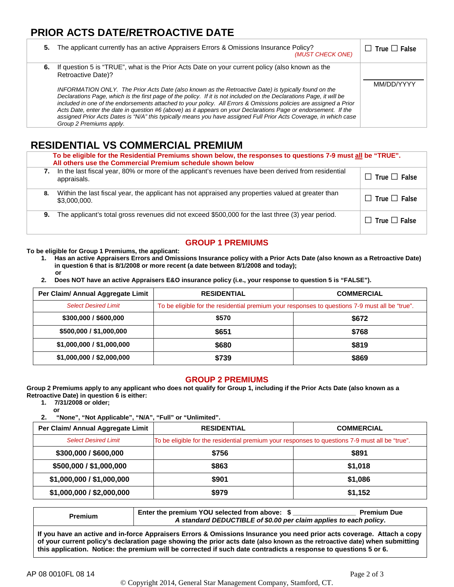## **PRIOR ACTS DATE/RETROACTIVE DATE**

| 5. | The applicant currently has an active Appraisers Errors & Omissions Insurance Policy?<br>(MUST CHECK ONE)                                                                                                                                                                                                                                                                                                                                                                                                                                                                                                                                                                                                                                           | True   1 False |
|----|-----------------------------------------------------------------------------------------------------------------------------------------------------------------------------------------------------------------------------------------------------------------------------------------------------------------------------------------------------------------------------------------------------------------------------------------------------------------------------------------------------------------------------------------------------------------------------------------------------------------------------------------------------------------------------------------------------------------------------------------------------|----------------|
| 6. | If question 5 is "TRUE", what is the Prior Acts Date on your current policy (also known as the<br><b>Retroactive Date)?</b><br>INFORMATION ONLY. The Prior Acts Date (also known as the Retroactive Date) is typically found on the<br>Declarations Page, which is the first page of the policy. If it is not included on the Declarations Page, it will be<br>included in one of the endorsements attached to your policy. All Errors & Omissions policies are assigned a Prior<br>Acts Date, enter the date in question #6 (above) as it appears on your Declarations Page or endorsement. If the<br>assigned Prior Acts Dates is "N/A" this typically means you have assigned Full Prior Acts Coverage, in which case<br>Group 2 Premiums apply. | MM/DD/YYYY     |

## **RESIDENTIAL VS COMMERCIAL PREMIUM**

|    | To be eligible for the Residential Premiums shown below, the responses to questions 7-9 must all be "TRUE".<br>All others use the Commercial Premium schedule shown below |                          |  |  |
|----|---------------------------------------------------------------------------------------------------------------------------------------------------------------------------|--------------------------|--|--|
| 7. | In the last fiscal year, 80% or more of the applicant's revenues have been derived from residential<br>appraisals.                                                        | $\Box$ True $\Box$ False |  |  |
| 8. | Within the last fiscal year, the applicant has not appraised any properties valued at greater than<br>\$3,000,000.                                                        | $\Box$ True $\Box$ False |  |  |
| 9. | The applicant's total gross revenues did not exceed \$500,000 for the last three (3) year period.                                                                         | $\Box$ True $\Box$ False |  |  |

### **GROUP 1 PREMIUMS**

**To be eligible for Group 1 Premiums, the applicant:**

- **1. Has an active Appraisers Errors and Omissions Insurance policy with a Prior Acts Date (also known as a Retroactive Date) in question 6 that is 8/1/2008 or more recent (a date between 8/1/2008 and today); or**
- **2. Does NOT have an active Appraisers E&O insurance policy (i.e., your response to question 5 is "FALSE").**

| Per Claim/ Annual Aggregate Limit | <b>RESIDENTIAL</b>                                                                             | <b>COMMERCIAL</b> |  |
|-----------------------------------|------------------------------------------------------------------------------------------------|-------------------|--|
| <b>Select Desired Limit</b>       | To be eligible for the residential premium your responses to questions 7-9 must all be "true". |                   |  |
| \$300,000 / \$600,000             | \$570                                                                                          | \$672             |  |
| \$500,000 / \$1,000,000           | \$651                                                                                          | \$768             |  |
| \$1,000,000 / \$1,000,000         | \$680                                                                                          | \$819             |  |
| \$1,000,000 / \$2,000,000         | \$739                                                                                          | \$869             |  |

#### **GROUP 2 PREMIUMS**

**Group 2 Premiums apply to any applicant who does not qualify for Group 1, including if the Prior Acts Date (also known as a Retroactive Date) in question 6 is either:**

**1. 7/31/2008 or older; or**

**2. "None", "Not Applicable", "N/A", "Full" or "Unlimited".**

| Per Claim/ Annual Aggregate Limit | <b>RESIDENTIAL</b>                                                                             | <b>COMMERCIAL</b> |  |
|-----------------------------------|------------------------------------------------------------------------------------------------|-------------------|--|
| <b>Select Desired Limit</b>       | To be eligible for the residential premium your responses to questions 7-9 must all be "true". |                   |  |
| \$300,000 / \$600,000             | \$756                                                                                          | \$891             |  |
| \$500,000 / \$1,000,000           | \$863                                                                                          | \$1,018           |  |
| \$1,000,000 / \$1,000,000         | \$901                                                                                          | \$1,086           |  |
| \$1,000,000 / \$2,000,000         | \$979                                                                                          | \$1,152           |  |

|         | Enter the premium YOU selected from above: \$                     | <b>Premium Due</b> |  |  |
|---------|-------------------------------------------------------------------|--------------------|--|--|
| Premium | A standard DEDUCTIBLE of \$0.00 per claim applies to each policy. |                    |  |  |

**If you have an active and in-force Appraisers Errors & Omissions Insurance you need prior acts coverage. Attach a copy of your current policy's declaration page showing the prior acts date (also known as the retroactive date) when submitting this application. Notice: the premium will be corrected if such date contradicts a response to questions 5 or 6.**

© Copyright 2014, General Star Management Company, Stamford, CT.